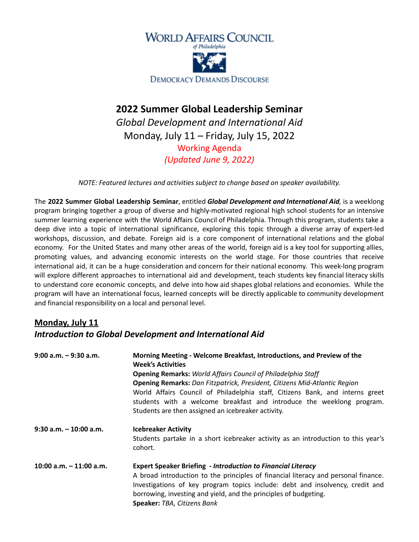

# **2022 Summer Global Leadership Seminar**

*Global Development and International Aid* Monday, July 11 – Friday, July 15, 2022 Working Agenda *(Updated June 9, 2022)*

*NOTE: Featured lectures and activities subject to change based on speaker availability.*

The **2022 Summer Global Leadership Seminar**, entitled *Global Development and International Aid,* is a weeklong program bringing together a group of diverse and highly-motivated regional high school students for an intensive summer learning experience with the World Affairs Council of Philadelphia. Through this program, students take a deep dive into a topic of international significance, exploring this topic through a diverse array of expert-led workshops, discussion, and debate. Foreign aid is a core component of international relations and the global economy. For the United States and many other areas of the world, foreign aid is a key tool for supporting allies, promoting values, and advancing economic interests on the world stage. For those countries that receive international aid, it can be a huge consideration and concern for their national economy. This week-long program will explore different approaches to international aid and development, teach students key financial literacy skills to understand core economic concepts, and delve into how aid shapes global relations and economies. While the program will have an international focus, learned concepts will be directly applicable to community development and financial responsibility on a local and personal level.

### **Monday, July 11** *Introduction to Global Development and International Aid*

| $9:00$ a.m. $-9:30$ a.m.  | Morning Meeting - Welcome Breakfast, Introductions, and Preview of the<br><b>Week's Activities</b>                                                                                                                                                                                                                                            |  |
|---------------------------|-----------------------------------------------------------------------------------------------------------------------------------------------------------------------------------------------------------------------------------------------------------------------------------------------------------------------------------------------|--|
|                           | <b>Opening Remarks: World Affairs Council of Philadelphia Staff</b>                                                                                                                                                                                                                                                                           |  |
|                           | <b>Opening Remarks:</b> Dan Fitzpatrick, President, Citizens Mid-Atlantic Region<br>World Affairs Council of Philadelphia staff, Citizens Bank, and interns greet<br>students with a welcome breakfast and introduce the weeklong program.<br>Students are then assigned an icebreaker activity.                                              |  |
| $9:30$ a.m. $-10:00$ a.m. | <b>Icebreaker Activity</b><br>Students partake in a short icebreaker activity as an introduction to this year's<br>cohort.                                                                                                                                                                                                                    |  |
| 10:00 a.m. $-$ 11:00 a.m. | <b>Expert Speaker Briefing - Introduction to Financial Literacy</b><br>A broad introduction to the principles of financial literacy and personal finance.<br>Investigations of key program topics include: debt and insolvency, credit and<br>borrowing, investing and yield, and the principles of budgeting.<br>Speaker: TBA, Citizens Bank |  |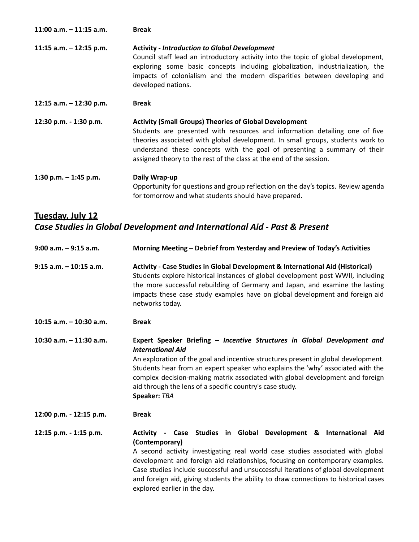| 11:00 a.m. $-$ 11:15 a.m. | <b>Break</b>                                                                                                                                                                                                                                                                                                                                                                      |
|---------------------------|-----------------------------------------------------------------------------------------------------------------------------------------------------------------------------------------------------------------------------------------------------------------------------------------------------------------------------------------------------------------------------------|
| 11:15 a.m. $-$ 12:15 p.m. | <b>Activity - Introduction to Global Development</b><br>Council staff lead an introductory activity into the topic of global development,<br>exploring some basic concepts including globalization, industrialization, the<br>impacts of colonialism and the modern disparities between developing and<br>developed nations.                                                      |
| 12:15 a.m. - 12:30 p.m.   | <b>Break</b>                                                                                                                                                                                                                                                                                                                                                                      |
| 12:30 p.m. - 1:30 p.m.    | <b>Activity (Small Groups) Theories of Global Development</b><br>Students are presented with resources and information detailing one of five<br>theories associated with global development. In small groups, students work to<br>understand these concepts with the goal of presenting a summary of their<br>assigned theory to the rest of the class at the end of the session. |
| 1:30 p.m. $-$ 1:45 p.m.   | Daily Wrap-up<br>Opportunity for questions and group reflection on the day's topics. Review agenda<br>for tomorrow and what students should have prepared.                                                                                                                                                                                                                        |

# **Tuesday, July 12** *Case Studies in Global Development and International Aid - Past & Present*

| $9:00$ a.m. $-9:15$ a.m.  | Morning Meeting - Debrief from Yesterday and Preview of Today's Activities                                                                                                                                                                                                                                                                                                                                                                                          |  |
|---------------------------|---------------------------------------------------------------------------------------------------------------------------------------------------------------------------------------------------------------------------------------------------------------------------------------------------------------------------------------------------------------------------------------------------------------------------------------------------------------------|--|
| $9:15$ a.m. $-10:15$ a.m. | Activity - Case Studies in Global Development & International Aid (Historical)<br>Students explore historical instances of global development post WWII, including<br>the more successful rebuilding of Germany and Japan, and examine the lasting<br>impacts these case study examples have on global development and foreign aid<br>networks today.                                                                                                               |  |
| 10:15 $a.m. - 10:30 a.m.$ | <b>Break</b>                                                                                                                                                                                                                                                                                                                                                                                                                                                        |  |
| 10:30 a.m. - 11:30 a.m.   | Expert Speaker Briefing - Incentive Structures in Global Development and<br><b>International Aid</b><br>An exploration of the goal and incentive structures present in global development.<br>Students hear from an expert speaker who explains the 'why' associated with the<br>complex decision-making matrix associated with global development and foreign<br>aid through the lens of a specific country's case study.<br>Speaker: TBA                          |  |
| 12:00 p.m. - 12:15 p.m.   | <b>Break</b>                                                                                                                                                                                                                                                                                                                                                                                                                                                        |  |
| 12:15 p.m. - 1:15 p.m.    | Activity - Case Studies in Global Development & International Aid<br>(Contemporary)<br>A second activity investigating real world case studies associated with global<br>development and foreign aid relationships, focusing on contemporary examples.<br>Case studies include successful and unsuccessful iterations of global development<br>and foreign aid, giving students the ability to draw connections to historical cases<br>explored earlier in the day. |  |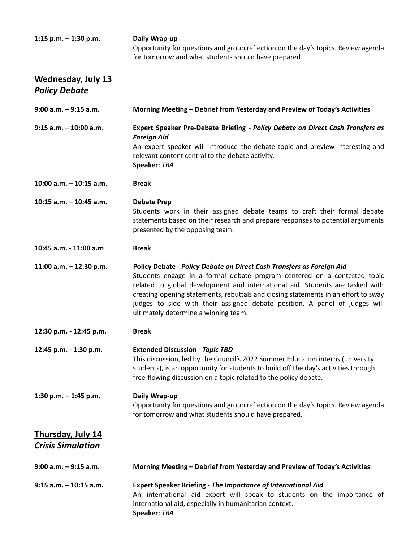| 1:15 p.m. $-$ 1:30 p.m. | Daily Wrap-up                                                                     |
|-------------------------|-----------------------------------------------------------------------------------|
|                         | Opportunity for questions and group reflection on the day's topics. Review agenda |
|                         | for tomorrow and what students should have prepared.                              |

### **Wednesday, July 13** *Policy Debate*

| $9:00$ a.m. $-9:15$ a.m.                             | Morning Meeting - Debrief from Yesterday and Preview of Today's Activities                                                                                                                                                                                                                                                                                                                                                                     |  |
|------------------------------------------------------|------------------------------------------------------------------------------------------------------------------------------------------------------------------------------------------------------------------------------------------------------------------------------------------------------------------------------------------------------------------------------------------------------------------------------------------------|--|
| $9:15$ a.m. $-10:00$ a.m.                            | Expert Speaker Pre-Debate Briefing - Policy Debate on Direct Cash Transfers as<br><b>Foreign Aid</b><br>An expert speaker will introduce the debate topic and preview interesting and<br>relevant content central to the debate activity.<br>Speaker: TBA                                                                                                                                                                                      |  |
| 10:00 a.m. - 10:15 a.m.                              | <b>Break</b>                                                                                                                                                                                                                                                                                                                                                                                                                                   |  |
| 10:15 $a.m. - 10:45 a.m.$                            | <b>Debate Prep</b><br>Students work in their assigned debate teams to craft their formal debate<br>statements based on their research and prepare responses to potential arguments<br>presented by the opposing team.                                                                                                                                                                                                                          |  |
| 10:45 a.m. - 11:00 a.m                               | <b>Break</b>                                                                                                                                                                                                                                                                                                                                                                                                                                   |  |
| 11:00 a.m. $-$ 12:30 p.m.                            | Policy Debate - Policy Debate on Direct Cash Transfers as Foreign Aid<br>Students engage in a formal debate program centered on a contested topic<br>related to global development and international aid. Students are tasked with<br>creating opening statements, rebuttals and closing statements in an effort to sway<br>judges to side with their assigned debate position. A panel of judges will<br>ultimately determine a winning team. |  |
| 12:30 p.m. - 12:45 p.m.                              | <b>Break</b>                                                                                                                                                                                                                                                                                                                                                                                                                                   |  |
| 12:45 p.m. - 1:30 p.m.                               | <b>Extended Discussion - Topic TBD</b><br>This discussion, led by the Council's 2022 Summer Education interns (university<br>students), is an opportunity for students to build off the day's activities through<br>free-flowing discussion on a topic related to the policy debate.                                                                                                                                                           |  |
| 1:30 p.m. $-$ 1:45 p.m.                              | Daily Wrap-up<br>Opportunity for questions and group reflection on the day's topics. Review agenda<br>for tomorrow and what students should have prepared.                                                                                                                                                                                                                                                                                     |  |
| <b>Thursday, July 14</b><br><b>Crisis Simulation</b> |                                                                                                                                                                                                                                                                                                                                                                                                                                                |  |
| $9:00$ a.m. $-9:15$ a.m.                             | Morning Meeting - Debrief from Yesterday and Preview of Today's Activities                                                                                                                                                                                                                                                                                                                                                                     |  |
| $9:15$ a.m. $-10:15$ a.m.                            | <b>Expert Speaker Briefing - The Importance of International Aid</b><br>An international aid expert will speak to students on the importance of<br>international aid, especially in humanitarian context.<br>Speaker: TBA                                                                                                                                                                                                                      |  |